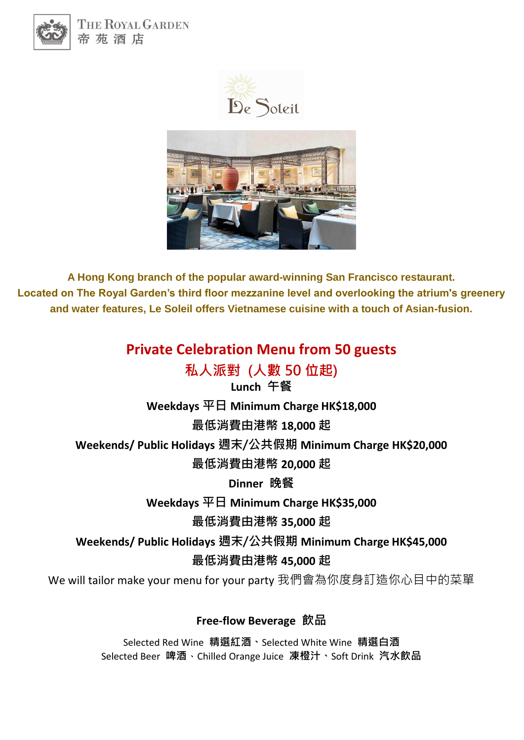

THE ROYAL GARDEN 帝苑酒店





**A Hong Kong branch of the popular award-winning San Francisco restaurant. Located on The Royal Garden's third floor mezzanine level and overlooking the atrium's greenery and water features, Le Soleil offers Vietnamese cuisine with a touch of Asian-fusion.** 

## **Private Celebration Menu from 50 guests**

**私人派對 (人數 50 位起)**

**Lunch 午餐 Weekdays 平日 Minimum Charge HK\$18,000 最低消費由港幣 18,000 起 Weekends/ Public Holidays 週末/公共假期 Minimum Charge HK\$20,000 最低消費由港幣 20,000 起 Dinner 晚餐 Weekdays 平日 Minimum Charge HK\$35,000**

**最低消費由港幣 35,000 起**

**Weekends/ Public Holidays 週末/公共假期 Minimum Charge HK\$45,000 最低消費由港幣 45,000 起**

We will tailor make your menu for your party 我們會為你度身訂造你心目中的菜單

**Free-flow Beverage 飲品**

Selected Red Wine **精選紅酒、**Selected White Wine **精選白酒** Selected Beer **啤酒**、Chilled Orange Juice **凍橙汁、**Soft Drink **汽水飲品**